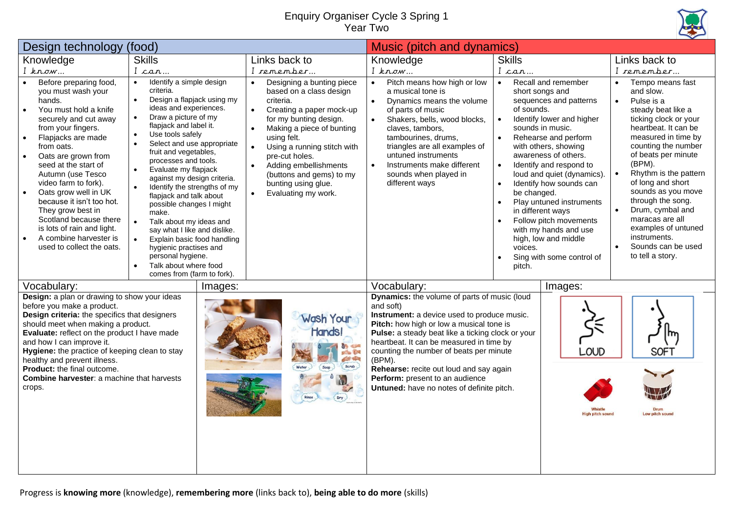## Enquiry Organiser Cycle 3 Spring 1 Year Two



| Design technology                                                                                                                                                                                                                                                                                                                                                                                                                                       | (food)                                                                                                                                                                                                                                                                                                                                                                                                                                                                                                                                                                                                                                                                                                                                      |                                                                                                                                                                                                                                                                                                                                                                                          | Music (pitch and dynamics)                                                                                                                                                                                                                                                                                                                                                                                                            |                                                                                                                                                                                                                                                                                                                                                                                                                                                                                                                    |                                                                                                                                                                                                                                                                                                                                                                                                                                                           |
|---------------------------------------------------------------------------------------------------------------------------------------------------------------------------------------------------------------------------------------------------------------------------------------------------------------------------------------------------------------------------------------------------------------------------------------------------------|---------------------------------------------------------------------------------------------------------------------------------------------------------------------------------------------------------------------------------------------------------------------------------------------------------------------------------------------------------------------------------------------------------------------------------------------------------------------------------------------------------------------------------------------------------------------------------------------------------------------------------------------------------------------------------------------------------------------------------------------|------------------------------------------------------------------------------------------------------------------------------------------------------------------------------------------------------------------------------------------------------------------------------------------------------------------------------------------------------------------------------------------|---------------------------------------------------------------------------------------------------------------------------------------------------------------------------------------------------------------------------------------------------------------------------------------------------------------------------------------------------------------------------------------------------------------------------------------|--------------------------------------------------------------------------------------------------------------------------------------------------------------------------------------------------------------------------------------------------------------------------------------------------------------------------------------------------------------------------------------------------------------------------------------------------------------------------------------------------------------------|-----------------------------------------------------------------------------------------------------------------------------------------------------------------------------------------------------------------------------------------------------------------------------------------------------------------------------------------------------------------------------------------------------------------------------------------------------------|
| Knowledge                                                                                                                                                                                                                                                                                                                                                                                                                                               | <b>Skills</b>                                                                                                                                                                                                                                                                                                                                                                                                                                                                                                                                                                                                                                                                                                                               | Links back to                                                                                                                                                                                                                                                                                                                                                                            | Knowledge                                                                                                                                                                                                                                                                                                                                                                                                                             | <b>Skills</b>                                                                                                                                                                                                                                                                                                                                                                                                                                                                                                      | Links back to                                                                                                                                                                                                                                                                                                                                                                                                                                             |
| $I$ know                                                                                                                                                                                                                                                                                                                                                                                                                                                | I can                                                                                                                                                                                                                                                                                                                                                                                                                                                                                                                                                                                                                                                                                                                                       | I remember                                                                                                                                                                                                                                                                                                                                                                               | I know                                                                                                                                                                                                                                                                                                                                                                                                                                | I can                                                                                                                                                                                                                                                                                                                                                                                                                                                                                                              | I remember                                                                                                                                                                                                                                                                                                                                                                                                                                                |
| Before preparing food,<br>you must wash your<br>hands.<br>You must hold a knife<br>securely and cut away<br>from your fingers.<br>Flapjacks are made<br>from oats.<br>Oats are grown from<br>seed at the start of<br>Autumn (use Tesco<br>video farm to fork).<br>Oats grow well in UK<br>because it isn't too hot.<br>They grow best in<br>Scotland because there<br>is lots of rain and light.<br>A combine harvester is<br>used to collect the oats. | Identify a simple design<br>$\bullet$<br>criteria.<br>Design a flapjack using my<br>$\bullet$<br>ideas and experiences.<br>Draw a picture of my<br>$\bullet$<br>flapjack and label it.<br>Use tools safely<br>$\bullet$<br>Select and use appropriate<br>$\bullet$<br>fruit and vegetables,<br>processes and tools.<br>Evaluate my flapjack<br>$\bullet$<br>against my design criteria.<br>Identify the strengths of my<br>$\bullet$<br>flapjack and talk about<br>possible changes I might<br>make.<br>Talk about my ideas and<br>$\bullet$<br>say what I like and dislike.<br>Explain basic food handling<br>$\bullet$<br>hygienic practises and<br>personal hygiene.<br>Talk about where food<br>$\bullet$<br>comes from (farm to fork). | Designing a bunting piece<br>based on a class design<br>criteria.<br>Creating a paper mock-up<br>$\bullet$<br>for my bunting design.<br>Making a piece of bunting<br>$\bullet$<br>using felt.<br>Using a running stitch with<br>$\bullet$<br>pre-cut holes.<br>Adding embellishments<br>$\bullet$<br>(buttons and gems) to my<br>bunting using glue.<br>Evaluating my work.<br>$\bullet$ | Pitch means how high or low<br>$\bullet$<br>a musical tone is<br>Dynamics means the volume<br>$\bullet$<br>of parts of music<br>Shakers, bells, wood blocks,<br>$\bullet$<br>claves, tambors,<br>tambourines, drums,<br>triangles are all examples of<br>untuned instruments<br>Instruments make different<br>sounds when played in<br>different ways                                                                                 | Recall and remember<br>$\bullet$<br>short songs and<br>sequences and patterns<br>of sounds.<br>Identify lower and higher<br>$\bullet$<br>sounds in music.<br>Rehearse and perform<br>with others, showing<br>awareness of others.<br>Identify and respond to<br>loud and quiet (dynamics).<br>Identify how sounds can<br>be changed.<br>Play untuned instruments<br>in different ways<br>Follow pitch movements<br>with my hands and use<br>high, low and middle<br>voices.<br>Sing with some control of<br>pitch. | Tempo means fast<br>and slow.<br>Pulse is a<br>$\bullet$<br>steady beat like a<br>ticking clock or your<br>heartbeat. It can be<br>measured in time by<br>counting the number<br>of beats per minute<br>(BPM).<br>Rhythm is the pattern<br>$\bullet$<br>of long and short<br>sounds as you move<br>through the song.<br>Drum, cymbal and<br>$\bullet$<br>maracas are all<br>examples of untuned<br>instruments.<br>Sounds can be used<br>to tell a story. |
| Vocabulary:<br>Images:                                                                                                                                                                                                                                                                                                                                                                                                                                  |                                                                                                                                                                                                                                                                                                                                                                                                                                                                                                                                                                                                                                                                                                                                             |                                                                                                                                                                                                                                                                                                                                                                                          | Vocabulary:                                                                                                                                                                                                                                                                                                                                                                                                                           | Images:                                                                                                                                                                                                                                                                                                                                                                                                                                                                                                            |                                                                                                                                                                                                                                                                                                                                                                                                                                                           |
| Design: a plan or drawing to show your ideas<br>before you make a product.<br>Design criteria: the specifics that designers<br>should meet when making a product.<br>Evaluate: reflect on the product I have made<br>and how I can improve it.<br>Hygiene: the practice of keeping clean to stay<br>healthy and prevent illness.<br>Product: the final outcome.<br>Combine harvester: a machine that harvests<br>crops.                                 |                                                                                                                                                                                                                                                                                                                                                                                                                                                                                                                                                                                                                                                                                                                                             | Wash Your<br>Hands!<br>police 194<br>人 中国<br>Scrub<br>Soap<br>Rinse<br>(bry)                                                                                                                                                                                                                                                                                                             | Dynamics: the volume of parts of music (loud<br>and soft)<br>Instrument: a device used to produce music.<br>Pitch: how high or low a musical tone is<br>Pulse: a steady beat like a ticking clock or your<br>heartbeat. It can be measured in time by<br>counting the number of beats per minute<br>(BPM).<br>Rehearse: recite out loud and say again<br>Perform: present to an audience<br>Untuned: have no notes of definite pitch. | LOUD<br>ligh pitch sound                                                                                                                                                                                                                                                                                                                                                                                                                                                                                           | SOF1<br>Low pitch sound                                                                                                                                                                                                                                                                                                                                                                                                                                   |